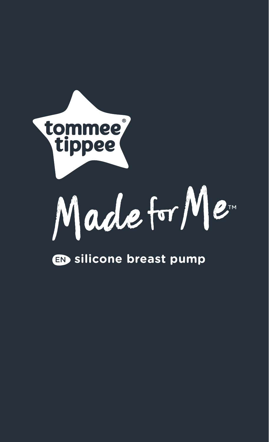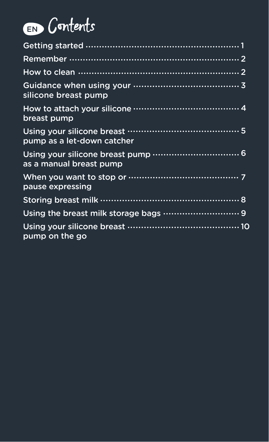# EN Contents

| silicone breast pump       |
|----------------------------|
| breast pump                |
| pump as a let-down catcher |
| as a manual breast pump    |
| pause expressing           |
|                            |
|                            |
| pump on the go             |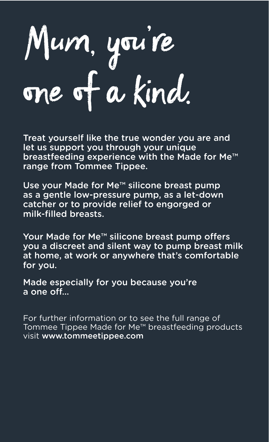Mum, you're one of a kind.

Treat yourself like the true wonder you are and let us support you through your unique breastfeeding experience with the Made for Me™ range from Tommee Tippee.

Use your Made for Me™ silicone breast pump as a gentle low-pressure pump, as a let-down catcher or to provide relief to engorged or milk-filled breasts.

Your Made for Me™ silicone breast pump offers you a discreet and silent way to pump breast milk at home, at work or anywhere that's comfortable for you.

Made especially for you because you're a one off…

For further information or to see the full range of Tommee Tippee Made for Me™ breastfeeding products visit www.tommeetippee.com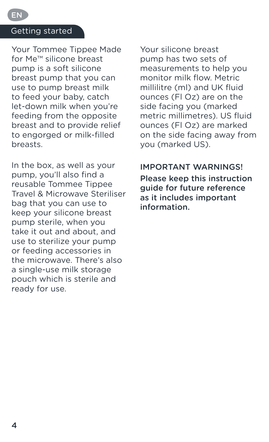#### Getting started

EN

Your Tommee Tippee Made for Me™ silicone breast pump is a soft silicone breast pump that you can use to pump breast milk to feed your baby, catch let-down milk when you're feeding from the opposite breast and to provide relief to engorged or milk-filled breasts.

In the box, as well as your pump, you'll also find a reusable Tommee Tippee Travel & Microwave Steriliser bag that you can use to keep your silicone breast pump sterile, when you take it out and about, and use to sterilize your pump or feeding accessories in the microwave. There's also a single-use milk storage pouch which is sterile and ready for use.

Your silicone breast pump has two sets of measurements to help you monitor milk flow. Metric millilitre (ml) and UK fluid ounces (Fl Oz) are on the side facing you (marked metric millimetres). US fluid ounces (Fl Oz) are marked on the side facing away from you (marked US).

#### IMPORTANT WARNINGS!

Please keep this instruction guide for future reference as it includes important information.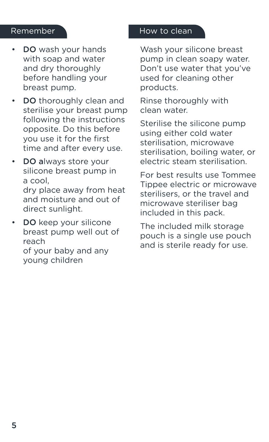- DO wash your hands with soap and water and dry thoroughly before handling your breast pump.
- DO thoroughly clean and sterilise your breast pump following the instructions opposite. Do this before you use it for the first time and after every use.
- DO always store your silicone breast pump in a cool, dry place away from heat and moisture and out of direct sunlight.
- DO keep your silicone breast pump well out of reach of your baby and any young children

#### Remember How to clean

Wash your silicone breast pump in clean soapy water. Don't use water that you've used for cleaning other products.

Rinse thoroughly with clean water.

Sterilise the silicone pump using either cold water sterilisation, microwave sterilisation, boiling water, or electric steam sterilisation.

For best results use Tommee Tippee electric or microwave sterilisers, or the travel and microwave steriliser bag included in this pack.

The included milk storage pouch is a single use pouch and is sterile ready for use.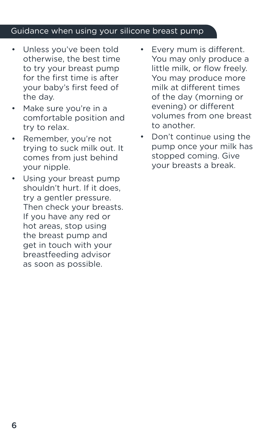#### Guidance when using your silicone breast pump

- Unless you've been told otherwise, the best time to try your breast pump for the first time is after your baby's first feed of the day.
- Make sure you're in a comfortable position and try to relax.
- Remember, you're not trying to suck milk out. It comes from just behind your nipple.
- Using your breast pump shouldn't hurt. If it does, try a gentler pressure. Then check your breasts. If you have any red or hot areas, stop using the breast pump and get in touch with your breastfeeding advisor as soon as possible.
- Every mum is different. You may only produce a little milk, or flow freely. You may produce more milk at different times of the day (morning or evening) or different volumes from one breast to another.
- Don't continue using the pump once your milk has stopped coming. Give your breasts a break.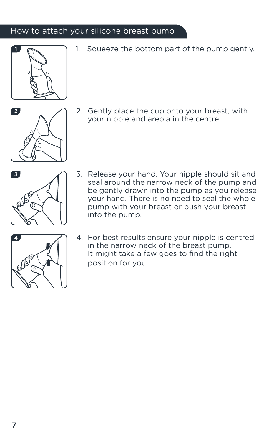#### How to attach your silicone breast pump



1. Squeeze the bottom part of the pump gently.



2. Gently place the cup onto your breast, with your nipple and areola in the centre.



3. Release your hand. Your nipple should sit and seal around the narrow neck of the pump and be gently drawn into the pump as you release your hand. There is no need to seal the whole pump with your breast or push your breast into the pump.



4. For best results ensure your nipple is centred in the narrow neck of the breast pump. It might take a few goes to find the right position for you.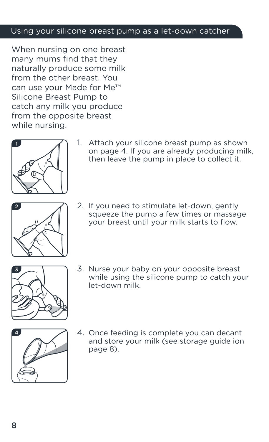#### Using your silicone breast pump as a let-down catcher

When nursing on one breast many mums find that they naturally produce some milk from the other breast. You can use your Made for Me™ Silicone Breast Pump to catch any milk you produce from the opposite breast while nursing.



1. Attach your silicone breast pump as shown on page 4. If you are already producing milk, then leave the pump in place to collect it.



2. If you need to stimulate let-down, gently squeeze the pump a few times or massage your breast until your milk starts to flow.



3. Nurse your baby on your opposite breast while using the silicone pump to catch your let-down milk.



4. Once feeding is complete you can decant and store your milk (see storage guide ion page 8).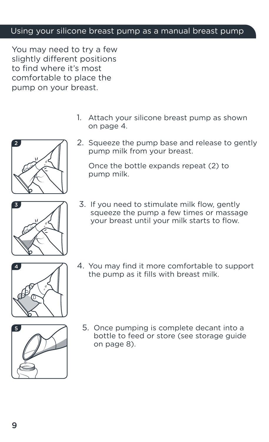#### Using your silicone breast pump as a manual breast pump

You may need to try a few slightly different positions to find where it's most comfortable to place the pump on your breast.

- 1. Attach your silicone breast pump as shown on page 4.
- 2. Squeeze the pump base and release to gently pump milk from your breast.

Once the bottle expands repeat (2) to pump milk.



2

3. If you need to stimulate milk flow, gently squeeze the pump a few times or massage your breast until your milk starts to flow.



4. You may find it more comfortable to support the pump as it fills with breast milk.



5. Once pumping is complete decant into a bottle to feed or store (see storage guide on page 8).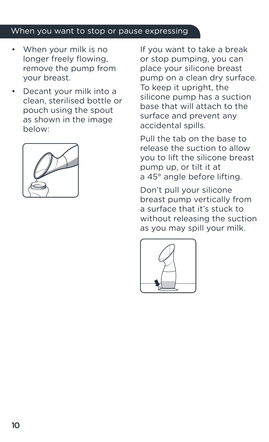#### When you want to stop or pause expressing

- When your milk is no longer freely flowing, remove the pump from your breast.
- Decant your milk into a clean, sterilised bottle or pouch using the spout as shown in the image below:



If you want to take a break or stop pumping, you can place your silicone breast pump on a clean dry surface. To keep it upright, the silicone pump has a suction base that will attach to the surface and prevent any accidental spills.

Pull the tab on the base to release the suction to allow you to lift the silicone breast pump up, or tilt it at a 45° angle before lifting.

Don't pull your silicone breast pump vertically from a surface that it's stuck to without releasing the suction as you may spill your milk.

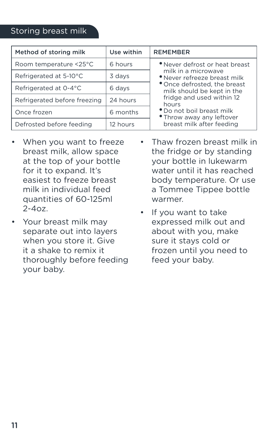#### Storing breast milk

| Method of storing milk       | Use within | <b>REMEMBER</b>                                                                                                                                                                                                                                                                  |
|------------------------------|------------|----------------------------------------------------------------------------------------------------------------------------------------------------------------------------------------------------------------------------------------------------------------------------------|
| Room temperature <25°C       | 6 hours    | . Never defrost or heat breast<br>milk in a microwave<br>· Never refreeze breast milk<br>* Once defrosted, the breast<br>milk should be kept in the<br>fridge and used within 12<br>hours<br>. Do not boil breast milk<br>. Throw away any leftover<br>breast milk after feeding |
| Refrigerated at 5-10°C       | 3 days     |                                                                                                                                                                                                                                                                                  |
| Refrigerated at 0-4°C        | 6 days     |                                                                                                                                                                                                                                                                                  |
| Refrigerated before freezing | 24 hours   |                                                                                                                                                                                                                                                                                  |
| Once frozen                  | 6 months   |                                                                                                                                                                                                                                                                                  |
| Defrosted before feeding     | 12 hours   |                                                                                                                                                                                                                                                                                  |

- When you want to freeze breast milk, allow space at the top of your bottle for it to expand. It's easiest to freeze breast milk in individual feed quantities of 60-125ml  $2 - 407$
- Your breast milk may separate out into layers when you store it. Give it a shake to remix it thoroughly before feeding your baby.
- Thaw frozen breast milk in the fridge or by standing your bottle in lukewarm water until it has reached body temperature. Or use a Tommee Tippee bottle warmer.
- If you want to take expressed milk out and about with you, make sure it stays cold or frozen until you need to feed your baby.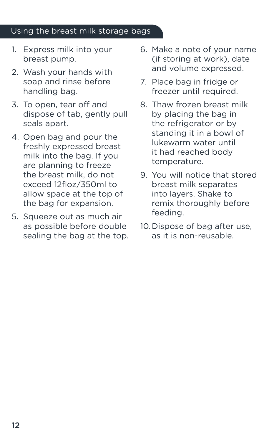#### Using the breast milk storage bags

- 1. Express milk into your breast pump.
- 2. Wash your hands with soap and rinse before handling bag.
- 3. To open, tear off and dispose of tab, gently pull seals apart.
- 4. Open bag and pour the freshly expressed breast milk into the bag. If you are planning to freeze the breast milk, do not exceed 12floz/350ml to allow space at the top of the bag for expansion.
- 5. Squeeze out as much air as possible before double sealing the bag at the top.
- 6. Make a note of your name (if storing at work), date and volume expressed.
- 7. Place bag in fridge or freezer until required.
- 8. Thaw frozen breast milk by placing the bag in the refrigerator or by standing it in a bowl of lukewarm water until it had reached body temperature.
- 9. You will notice that stored breast milk separates into layers. Shake to remix thoroughly before feeding.
- 10.Dispose of bag after use, as it is non-reusable.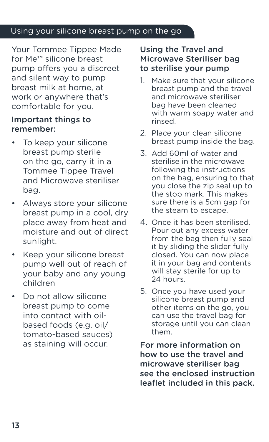#### Using your silicone breast pump on the go

Your Tommee Tippee Made for Me™ silicone breast pump offers you a discreet and silent way to pump breast milk at home, at work or anywhere that's comfortable for you.

#### Important things to remember:

- To keep your silicone breast pump sterile on the go, carry it in a Tommee Tippee Travel and Microwave steriliser bag.
- Always store your silicone breast pump in a cool, dry place away from heat and moisture and out of direct sunlight.
- Keep your silicone breast pump well out of reach of your baby and any young children
- Do not allow silicone breast pump to come into contact with oilbased foods (e.g. oil/ tomato-based sauces) as staining will occur.

#### Using the Travel and Microwave Steriliser bag to sterilise your pump

- 1. Make sure that your silicone breast pump and the travel and microwave steriliser bag have been cleaned with warm soapy water and rinsed.
- 2. Place your clean silicone breast pump inside the bag.
- 3. Add 60ml of water and sterilise in the microwave following the instructions on the bag, ensuring to that you close the zip seal up to the stop mark. This makes sure there is a 5cm gap for the steam to escape.
- 4. Once it has been sterilised. Pour out any excess water from the bag then fully seal it by sliding the slider fully closed. You can now place it in your bag and contents will stay sterile for up to 24 hours.
- 5. Once you have used your silicone breast pump and other items on the go, you can use the travel bag for storage until you can clean them.

For more information on how to use the travel and microwave steriliser bag see the enclosed instruction leaflet included in this pack.